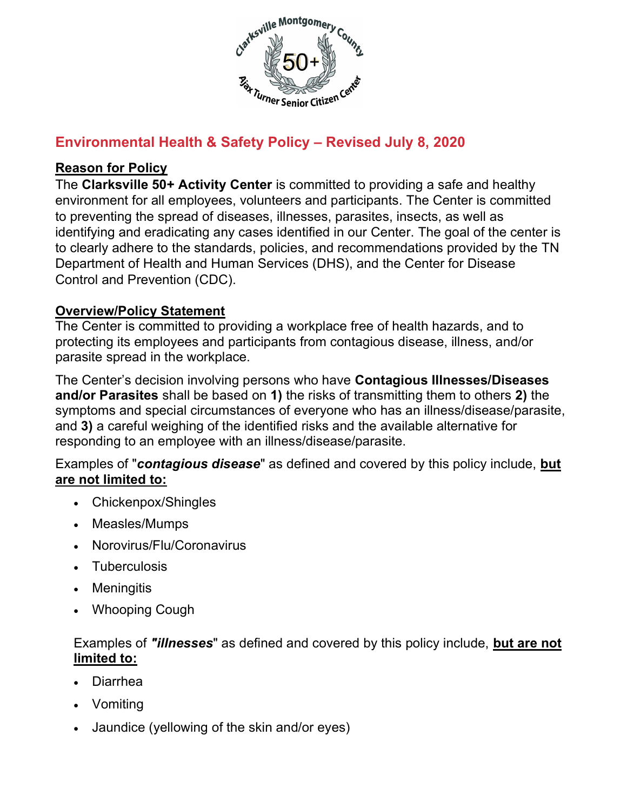

# Environmental Health & Safety Policy – Revised July 8, 2020

#### Reason for Policy

The Clarksville 50+ Activity Center is committed to providing a safe and healthy environment for all employees, volunteers and participants. The Center is committed to preventing the spread of diseases, illnesses, parasites, insects, as well as identifying and eradicating any cases identified in our Center. The goal of the center is to clearly adhere to the standards, policies, and recommendations provided by the TN Department of Health and Human Services (DHS), and the Center for Disease Control and Prevention (CDC).

#### Overview/Policy Statement

The Center is committed to providing a workplace free of health hazards, and to protecting its employees and participants from contagious disease, illness, and/or parasite spread in the workplace.

The Center's decision involving persons who have Contagious Illnesses/Diseases and/or Parasites shall be based on 1) the risks of transmitting them to others 2) the symptoms and special circumstances of everyone who has an illness/disease/parasite, and 3) a careful weighing of the identified risks and the available alternative for responding to an employee with an illness/disease/parasite.

Examples of "contagious disease" as defined and covered by this policy include, but are not limited to:

- Chickenpox/Shingles
- Measles/Mumps
- Norovirus/Flu/Coronavirus
- Tuberculosis
- Meningitis
- Whooping Cough

#### Examples of "*illnesses*" as defined and covered by this policy include, but are not limited to:

- Diarrhea
- Vomiting
- Jaundice (yellowing of the skin and/or eyes)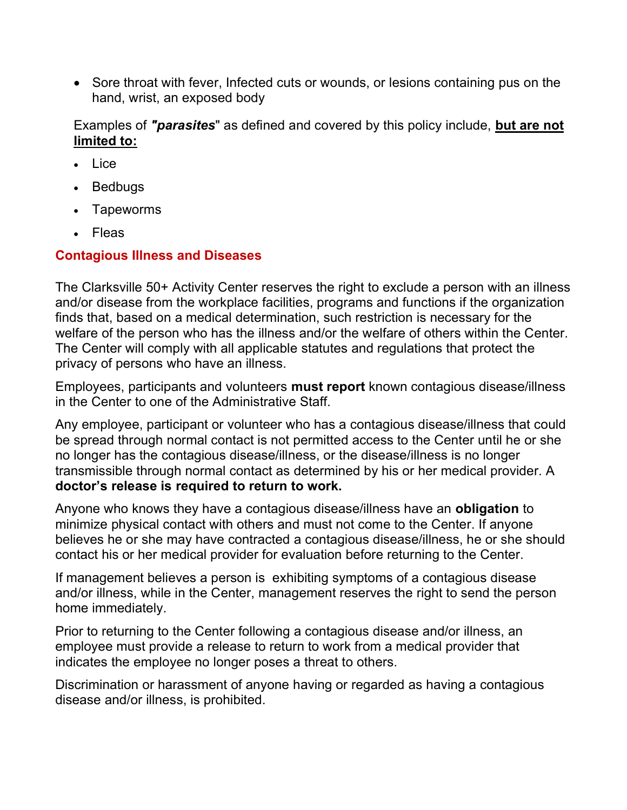• Sore throat with fever, Infected cuts or wounds, or lesions containing pus on the hand, wrist, an exposed body

Examples of "*parasites*" as defined and covered by this policy include, but are not limited to:

- Lice
- Bedbugs
- Tapeworms
- Fleas

#### Contagious Illness and Diseases

The Clarksville 50+ Activity Center reserves the right to exclude a person with an illness and/or disease from the workplace facilities, programs and functions if the organization finds that, based on a medical determination, such restriction is necessary for the welfare of the person who has the illness and/or the welfare of others within the Center. The Center will comply with all applicable statutes and regulations that protect the privacy of persons who have an illness.

Employees, participants and volunteers must report known contagious disease/illness in the Center to one of the Administrative Staff.

Any employee, participant or volunteer who has a contagious disease/illness that could be spread through normal contact is not permitted access to the Center until he or she no longer has the contagious disease/illness, or the disease/illness is no longer transmissible through normal contact as determined by his or her medical provider. A doctor's release is required to return to work.

Anyone who knows they have a contagious disease/illness have an obligation to minimize physical contact with others and must not come to the Center. If anyone believes he or she may have contracted a contagious disease/illness, he or she should contact his or her medical provider for evaluation before returning to the Center.

If management believes a person is exhibiting symptoms of a contagious disease and/or illness, while in the Center, management reserves the right to send the person home immediately.

Prior to returning to the Center following a contagious disease and/or illness, an employee must provide a release to return to work from a medical provider that indicates the employee no longer poses a threat to others.

Discrimination or harassment of anyone having or regarded as having a contagious disease and/or illness, is prohibited.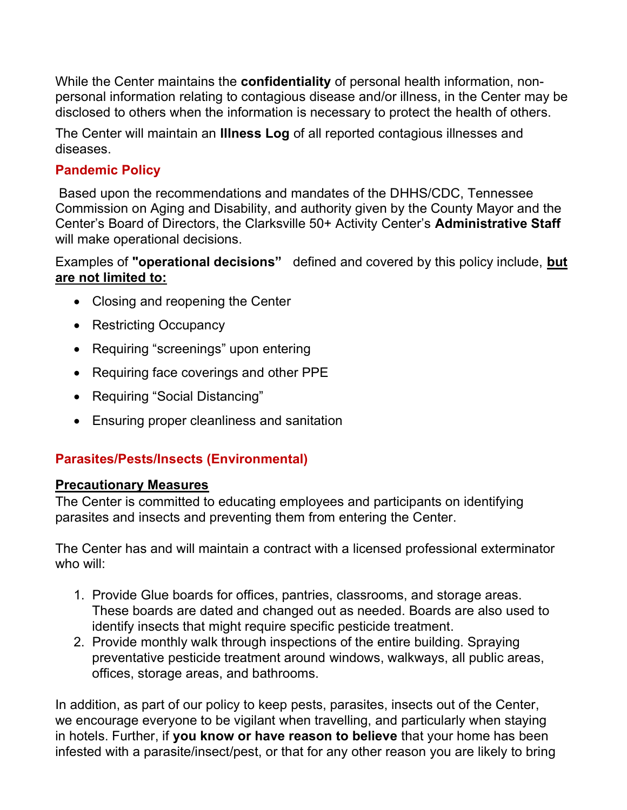While the Center maintains the **confidentiality** of personal health information, nonpersonal information relating to contagious disease and/or illness, in the Center may be disclosed to others when the information is necessary to protect the health of others.

The Center will maintain an **Illness Log** of all reported contagious illnesses and diseases.

### Pandemic Policy

 Based upon the recommendations and mandates of the DHHS/CDC, Tennessee Commission on Aging and Disability, and authority given by the County Mayor and the Center's Board of Directors, the Clarksville 50+ Activity Center's Administrative Staff will make operational decisions.

Examples of "operational decisions" defined and covered by this policy include, but are not limited to:

- Closing and reopening the Center
- Restricting Occupancy
- Requiring "screenings" upon entering
- Requiring face coverings and other PPE
- Requiring "Social Distancing"
- Ensuring proper cleanliness and sanitation

# Parasites/Pests/Insects (Environmental)

#### Precautionary Measures

The Center is committed to educating employees and participants on identifying parasites and insects and preventing them from entering the Center.

The Center has and will maintain a contract with a licensed professional exterminator who will:

- 1. Provide Glue boards for offices, pantries, classrooms, and storage areas. These boards are dated and changed out as needed. Boards are also used to identify insects that might require specific pesticide treatment.
- 2. Provide monthly walk through inspections of the entire building. Spraying preventative pesticide treatment around windows, walkways, all public areas, offices, storage areas, and bathrooms.

In addition, as part of our policy to keep pests, parasites, insects out of the Center, we encourage everyone to be vigilant when travelling, and particularly when staying in hotels. Further, if you know or have reason to believe that your home has been infested with a parasite/insect/pest, or that for any other reason you are likely to bring